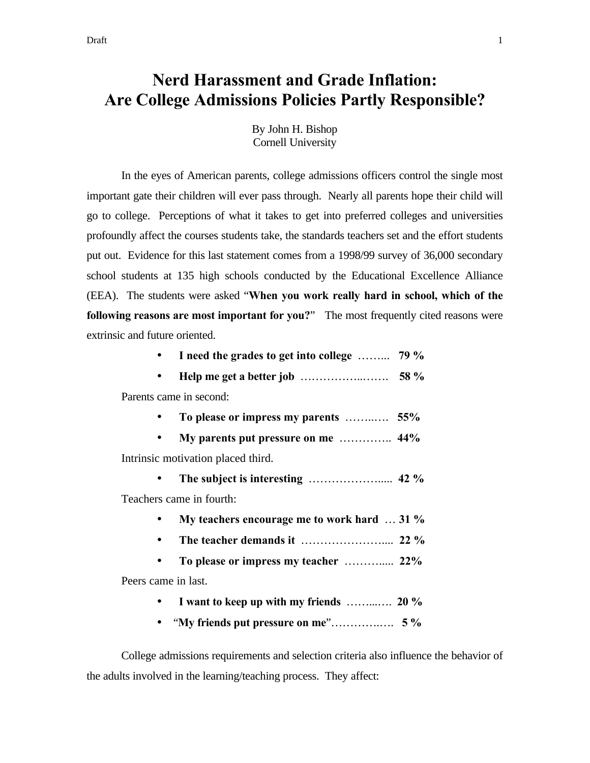## **Nerd Harassment and Grade Inflation: Are College Admissions Policies Partly Responsible?**

By John H. Bishop Cornell University

In the eyes of American parents, college admissions officers control the single most important gate their children will ever pass through. Nearly all parents hope their child will go to college. Perceptions of what it takes to get into preferred colleges and universities profoundly affect the courses students take, the standards teachers set and the effort students put out. Evidence for this last statement comes from a 1998/99 survey of 36,000 secondary school students at 135 high schools conducted by the Educational Excellence Alliance (EEA). The students were asked "**When you work really hard in school, which of the following reasons are most important for you?**" The most frequently cited reasons were extrinsic and future oriented.

|  |  | I need the grades to get into college  79 % |  |  |
|--|--|---------------------------------------------|--|--|
|--|--|---------------------------------------------|--|--|

• **"Help me get a better job"**……………..……. **58 %**

Parents came in second:

- **"To please or impress my parents"**……..…. **55%**
- **My parents put pressure on me** ………….. 44%

Intrinsic motivation placed third.

• **"The subject is interesting"**………………..... **42 %**

Teachers came in fourth:

- **"My teachers encourage me to work hard"**… **31 %**
- The teacher demands it …………………………… 22 %
- To please or impress my teacher …………... 22%

Peers came in last.

- **"I want to keep up with my friends"**……...…. **20 %**
- "**My friends put pressure on me**"………….…. **5 %**

College admissions requirements and selection criteria also influence the behavior of the adults involved in the learning/teaching process. They affect: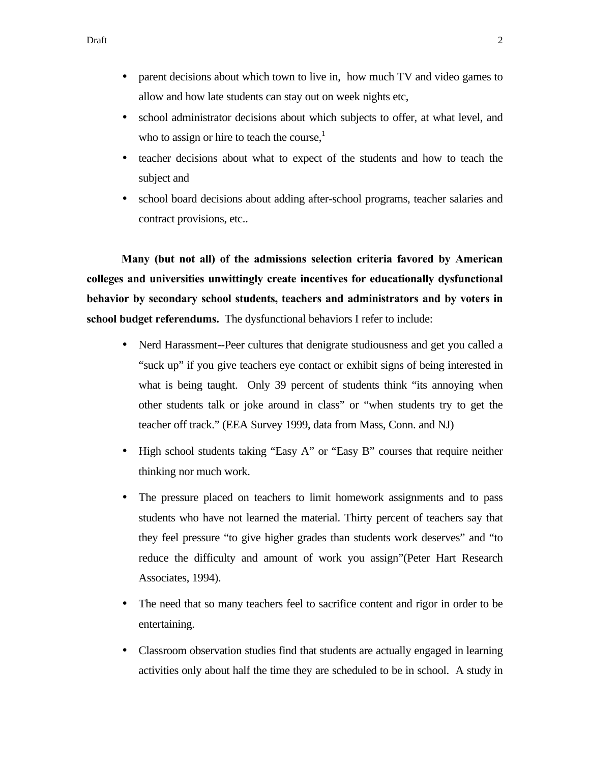- parent decisions about which town to live in, how much TV and video games to allow and how late students can stay out on week nights etc,
- school administrator decisions about which subjects to offer, at what level, and who to assign or hire to teach the course, $<sup>1</sup>$ </sup>
- teacher decisions about what to expect of the students and how to teach the subject and
- school board decisions about adding after-school programs, teacher salaries and contract provisions, etc..

**Many (but not all) of the admissions selection criteria favored by American colleges and universities unwittingly create incentives for educationally dysfunctional behavior by secondary school students, teachers and administrators and by voters in school budget referendums.** The dysfunctional behaviors I refer to include:

- Nerd Harassment--Peer cultures that denigrate studiousness and get you called a "suck up" if you give teachers eye contact or exhibit signs of being interested in what is being taught. Only 39 percent of students think "its annoying when other students talk or joke around in class" or "when students try to get the teacher off track." (EEA Survey 1999, data from Mass, Conn. and NJ)
- High school students taking "Easy A" or "Easy B" courses that require neither thinking nor much work.
- The pressure placed on teachers to limit homework assignments and to pass students who have not learned the material. Thirty percent of teachers say that they feel pressure "to give higher grades than students work deserves" and "to reduce the difficulty and amount of work you assign"(Peter Hart Research Associates, 1994).
- The need that so many teachers feel to sacrifice content and rigor in order to be entertaining.
- Classroom observation studies find that students are actually engaged in learning activities only about half the time they are scheduled to be in school. A study in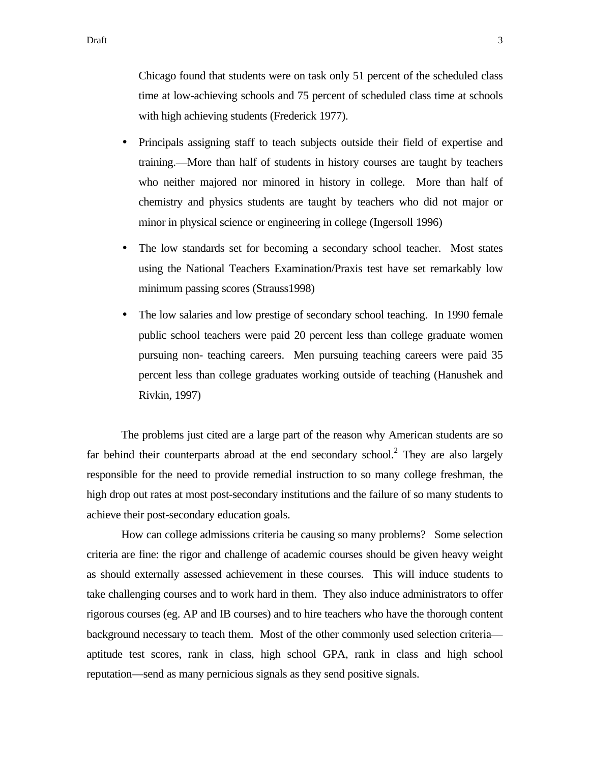Chicago found that students were on task only 51 percent of the scheduled class time at low-achieving schools and 75 percent of scheduled class time at schools with high achieving students (Frederick 1977).

- Principals assigning staff to teach subjects outside their field of expertise and training.—More than half of students in history courses are taught by teachers who neither majored nor minored in history in college. More than half of chemistry and physics students are taught by teachers who did not major or minor in physical science or engineering in college (Ingersoll 1996)
- The low standards set for becoming a secondary school teacher. Most states using the National Teachers Examination/Praxis test have set remarkably low minimum passing scores (Strauss1998)
- The low salaries and low prestige of secondary school teaching. In 1990 female public school teachers were paid 20 percent less than college graduate women pursuing non- teaching careers. Men pursuing teaching careers were paid 35 percent less than college graduates working outside of teaching (Hanushek and Rivkin, 1997)

The problems just cited are a large part of the reason why American students are so far behind their counterparts abroad at the end secondary school.<sup>2</sup> They are also largely responsible for the need to provide remedial instruction to so many college freshman, the high drop out rates at most post-secondary institutions and the failure of so many students to achieve their post-secondary education goals.

How can college admissions criteria be causing so many problems? Some selection criteria are fine: the rigor and challenge of academic courses should be given heavy weight as should externally assessed achievement in these courses. This will induce students to take challenging courses and to work hard in them. They also induce administrators to offer rigorous courses (eg. AP and IB courses) and to hire teachers who have the thorough content background necessary to teach them. Most of the other commonly used selection criteria aptitude test scores, rank in class, high school GPA, rank in class and high school reputation—send as many pernicious signals as they send positive signals.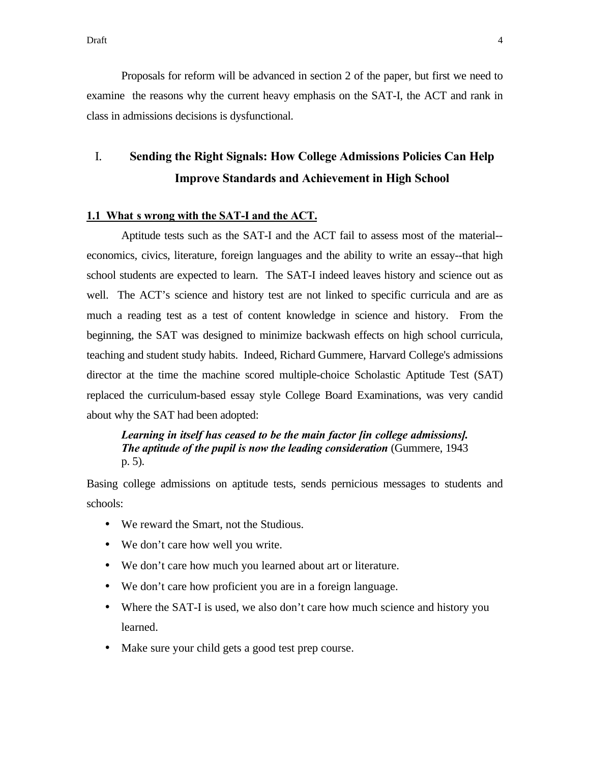**Draft** 4

Proposals for reform will be advanced in section 2 of the paper, but first we need to examine the reasons why the current heavy emphasis on the SAT-I, the ACT and rank in class in admissions decisions is dysfunctional.

## I. **Sending the Right Signals: How College Admissions Policies Can Help Improve Standards and Achievement in High School**

#### **1.1 What s wrong with the SAT-I and the ACT.**

Aptitude tests such as the SAT-I and the ACT fail to assess most of the material- economics, civics, literature, foreign languages and the ability to write an essay--that high school students are expected to learn. The SAT-I indeed leaves history and science out as well. The ACT's science and history test are not linked to specific curricula and are as much a reading test as a test of content knowledge in science and history. From the beginning, the SAT was designed to minimize backwash effects on high school curricula, teaching and student study habits. Indeed, Richard Gummere, Harvard College's admissions director at the time the machine scored multiple-choice Scholastic Aptitude Test (SAT) replaced the curriculum-based essay style College Board Examinations, was very candid about why the SAT had been adopted:

#### *Learning in itself has ceased to be the main factor [in college admissions]. The aptitude of the pupil is now the leading consideration* (Gummere, 1943 p. 5).

Basing college admissions on aptitude tests, sends pernicious messages to students and schools:

- We reward the Smart, not the Studious.
- We don't care how well you write.
- We don't care how much you learned about art or literature.
- We don't care how proficient you are in a foreign language.
- Where the SAT-I is used, we also don't care how much science and history you learned.
- Make sure your child gets a good test prep course.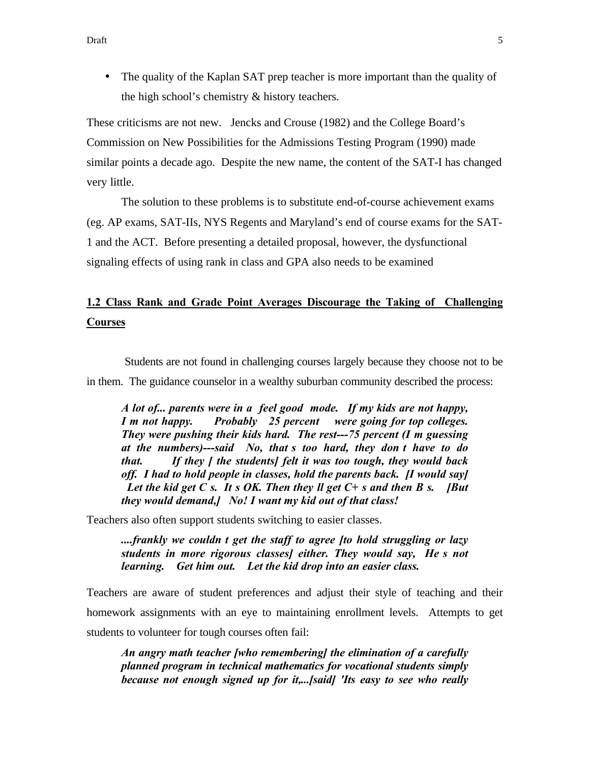• The quality of the Kaplan SAT prep teacher is more important than the quality of the high school's chemistry & history teachers.

These criticisms are not new. Jencks and Crouse (1982) and the College Board's Commission on New Possibilities for the Admissions Testing Program (1990) made similar points a decade ago. Despite the new name, the content of the SAT-I has changed very little.

The solution to these problems is to substitute end-of-course achievement exams (eg. AP exams, SAT-IIs, NYS Regents and Maryland's end of course exams for the SAT-1 and the ACT. Before presenting a detailed proposal, however, the dysfunctional signaling effects of using rank in class and GPA also needs to be examined

## **1.2 Class Rank and Grade Point Averages Discourage the Taking of Challenging Courses**

 Students are not found in challenging courses largely because they choose not to be in them. The guidance counselor in a wealthy suburban community described the process:

*A lot of... parents were in a 'feel good' mode. "If my kids are not happy, I'm not happy.* Probably 25 percent were going for top colleges. *They were pushing their kids hard. The rest---75 percent (I'm guessing at the numbers)---said "No, that's too hard, they don't have to do that."……If they [ the students] felt it was too tough, they would back off. I had to hold people in classes, hold the parents back. [I would say] Let the kid get C's. It's OK. Then they II get C+'s and then B's. [But*] *they would demand,] "No! I want my kid out of that class!"*

Teachers also often support students switching to easier classes.

*....frankly we couldn't get the staff to agree [to hold struggling or lazy students in more rigorous classes] either. They would say, 'He's not learning.* Get him out. Let the kid drop into an easier class.

Teachers are aware of student preferences and adjust their style of teaching and their homework assignments with an eye to maintaining enrollment levels. Attempts to get students to volunteer for tough courses often fail:

*An angry math teacher [who remembering] the elimination of a carefully planned program in technical mathematics for vocational students simply because not enough signed up for it,...[said] 'Its easy to see who really*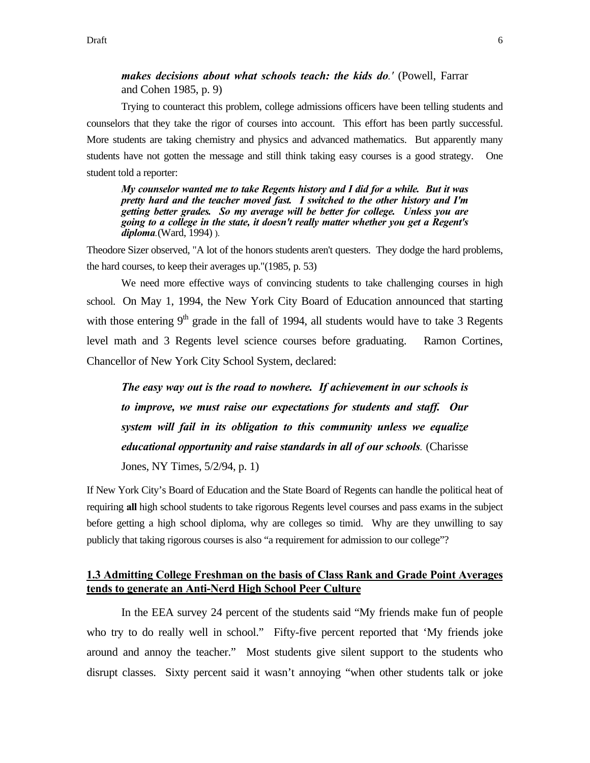#### *makes decisions about what schools teach: the kids do.'* (Powell, Farrar and Cohen 1985, p. 9)

Trying to counteract this problem, college admissions officers have been telling students and counselors that they take the rigor of courses into account. This effort has been partly successful. More students are taking chemistry and physics and advanced mathematics. But apparently many students have not gotten the message and still think taking easy courses is a good strategy. One student told a reporter:

*My counselor wanted me to take Regents history and I did for a while. But it was pretty hard and the teacher moved fast. I switched to the other history and I'm getting better grades. So my average will be better for college. Unless you are going to a college in the state, it doesn't really matter whether you get a Regent's diploma.*(Ward, 1994) ).

Theodore Sizer observed, "A lot of the honors students aren't questers. They dodge the hard problems, the hard courses, to keep their averages up."(1985, p. 53)

We need more effective ways of convincing students to take challenging courses in high school. On May 1, 1994, the New York City Board of Education announced that starting with those entering  $9<sup>th</sup>$  grade in the fall of 1994, all students would have to take 3 Regents level math and 3 Regents level science courses before graduating. Ramon Cortines, Chancellor of New York City School System, declared:

*The easy way out is the road to nowhere. If achievement in our schools is to improve, we must raise our expectations for students and staff. Our system will fail in its obligation to this community unless we equalize educational opportunity and raise standards in all of our schools.* (Charisse

Jones, NY Times, 5/2/94, p. 1)

If New York City's Board of Education and the State Board of Regents can handle the political heat of requiring **all** high school students to take rigorous Regents level courses and pass exams in the subject before getting a high school diploma, why are colleges so timid. Why are they unwilling to say publicly that taking rigorous courses is also "a requirement for admission to our college"?

#### **1.3 Admitting College Freshman on the basis of Class Rank and Grade Point Averages tends to generate an Anti-Nerd High School Peer Culture**

In the EEA survey 24 percent of the students said "My friends make fun of people who try to do really well in school." Fifty-five percent reported that 'My friends joke around and annoy the teacher." Most students give silent support to the students who disrupt classes. Sixty percent said it wasn't annoying "when other students talk or joke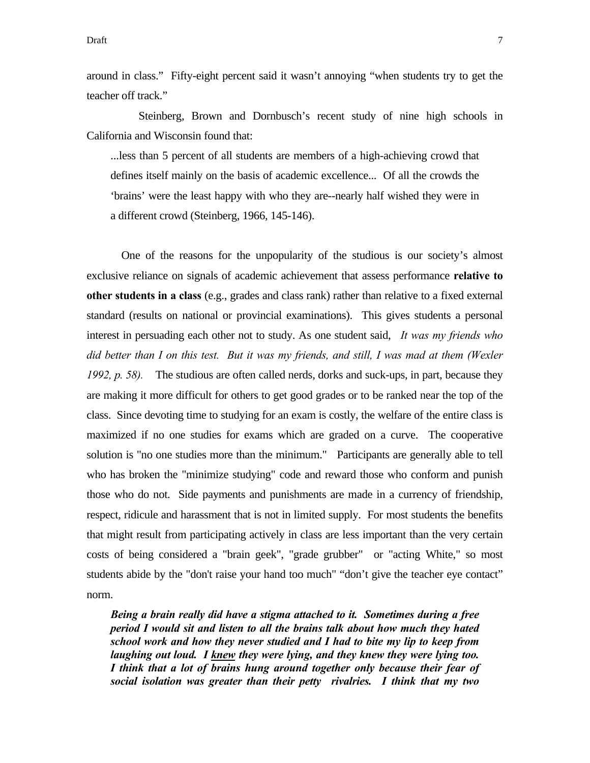around in class." Fifty-eight percent said it wasn't annoying "when students try to get the teacher off track."

Steinberg, Brown and Dornbusch's recent study of nine high schools in California and Wisconsin found that:

...less than 5 percent of all students are members of a high-achieving crowd that defines itself mainly on the basis of academic excellence... Of all the crowds the 'brains' were the least happy with who they are--nearly half wished they were in a different crowd (Steinberg, 1966, 145-146).

One of the reasons for the unpopularity of the studious is our society's almost exclusive reliance on signals of academic achievement that assess performance **relative to other students in a class** (e.g., grades and class rank) rather than relative to a fixed external standard (results on national or provincial examinations). This gives students a personal interest in persuading each other not to study. As one student said, *It was my friends who did better than I on this test. But it was my friends, and still, I was mad at them (Wexler 1992, p. 58).* The studious are often called nerds, dorks and suck-ups, in part, because they are making it more difficult for others to get good grades or to be ranked near the top of the class. Since devoting time to studying for an exam is costly, the welfare of the entire class is maximized if no one studies for exams which are graded on a curve. The cooperative solution is "no one studies more than the minimum." Participants are generally able to tell who has broken the "minimize studying" code and reward those who conform and punish those who do not. Side payments and punishments are made in a currency of friendship, respect, ridicule and harassment that is not in limited supply. For most students the benefits that might result from participating actively in class are less important than the very certain costs of being considered a "brain geek", "grade grubber" or "acting White," so most students abide by the "don't raise your hand too much" "don't give the teacher eye contact" norm.

*Being a brain really did have a stigma attached to it. Sometimes during a free period I would sit and listen to all the brains talk about how much they hated school work and how they never studied and I had to bite my lip to keep from laughing out loud. I knew they were lying, and they knew they were lying too. I think that a lot of brains hung around together only because their fear of social isolation was greater than their petty rivalries. I think that my two*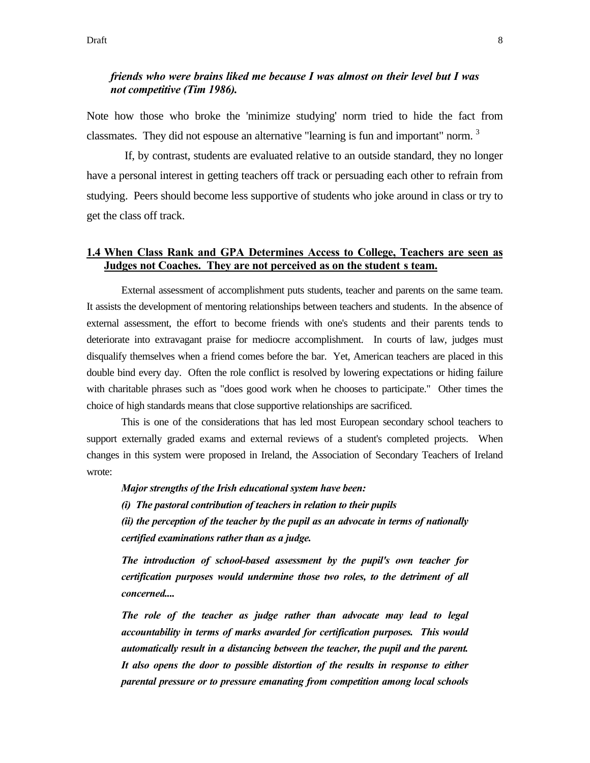#### *friends who were brains liked me because I was almost on their level but I was not competitive (Tim 1986).*

Note how those who broke the 'minimize studying' norm tried to hide the fact from classmates. They did not espouse an alternative "learning is fun and important" norm.  $3$ 

 If, by contrast, students are evaluated relative to an outside standard, they no longer have a personal interest in getting teachers off track or persuading each other to refrain from studying. Peers should become less supportive of students who joke around in class or try to get the class off track.

#### **1.4 When Class Rank and GPA Determines Access to College, Teachers are seen as Judges not Coaches. They are not perceived as on the student's team.**

External assessment of accomplishment puts students, teacher and parents on the same team. It assists the development of mentoring relationships between teachers and students. In the absence of external assessment, the effort to become friends with one's students and their parents tends to deteriorate into extravagant praise for mediocre accomplishment. In courts of law, judges must disqualify themselves when a friend comes before the bar. Yet, American teachers are placed in this double bind every day. Often the role conflict is resolved by lowering expectations or hiding failure with charitable phrases such as "does good work when he chooses to participate." Other times the choice of high standards means that close supportive relationships are sacrificed.

This is one of the considerations that has led most European secondary school teachers to support externally graded exams and external reviews of a student's completed projects. When changes in this system were proposed in Ireland, the Association of Secondary Teachers of Ireland wrote:

#### *Major strengths of the Irish educational system have been:*

*(i) The pastoral contribution of teachers in relation to their pupils*

 *(ii) the perception of the teacher by the pupil as an advocate in terms of nationally certified examinations rather than as a judge.*

*The introduction of school-based assessment by the pupil's own teacher for certification purposes would undermine those two roles, to the detriment of all concerned....*

*The role of the teacher as judge rather than advocate may lead to legal accountability in terms of marks awarded for certification purposes. This would automatically result in a distancing between the teacher, the pupil and the parent. It also opens the door to possible distortion of the results in response to either parental pressure or to pressure emanating from competition among local schools*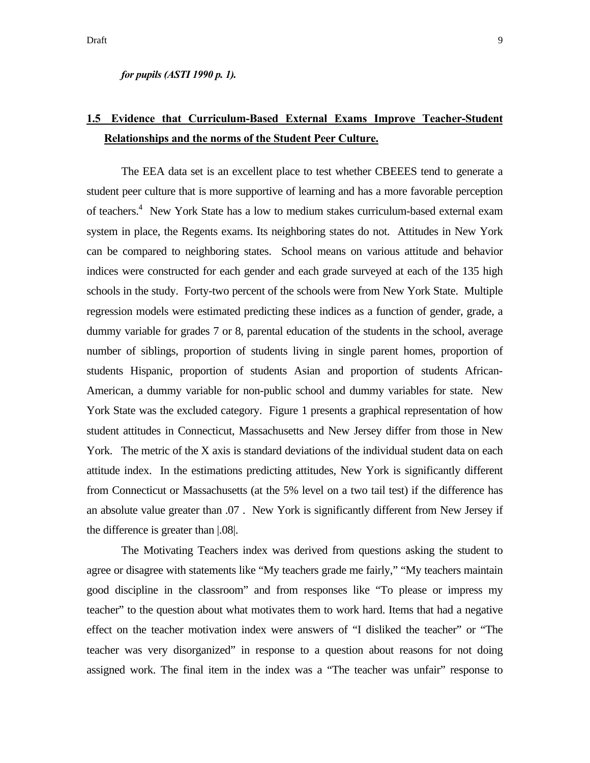The EEA data set is an excellent place to test whether CBEEES tend to generate a student peer culture that is more supportive of learning and has a more favorable perception of teachers.<sup>4</sup> New York State has a low to medium stakes curriculum-based external exam system in place, the Regents exams. Its neighboring states do not. Attitudes in New York can be compared to neighboring states. School means on various attitude and behavior indices were constructed for each gender and each grade surveyed at each of the 135 high schools in the study. Forty-two percent of the schools were from New York State. Multiple regression models were estimated predicting these indices as a function of gender, grade, a dummy variable for grades 7 or 8, parental education of the students in the school, average number of siblings, proportion of students living in single parent homes, proportion of students Hispanic, proportion of students Asian and proportion of students African-American, a dummy variable for non-public school and dummy variables for state. New York State was the excluded category. Figure 1 presents a graphical representation of how student attitudes in Connecticut, Massachusetts and New Jersey differ from those in New York. The metric of the X axis is standard deviations of the individual student data on each attitude index. In the estimations predicting attitudes, New York is significantly different from Connecticut or Massachusetts (at the 5% level on a two tail test) if the difference has an absolute value greater than .07 . New York is significantly different from New Jersey if the difference is greater than |.08|.

The Motivating Teachers index was derived from questions asking the student to agree or disagree with statements like "My teachers grade me fairly," "My teachers maintain good discipline in the classroom" and from responses like "To please or impress my teacher" to the question about what motivates them to work hard. Items that had a negative effect on the teacher motivation index were answers of "I disliked the teacher" or "The teacher was very disorganized" in response to a question about reasons for not doing assigned work. The final item in the index was a "The teacher was unfair" response to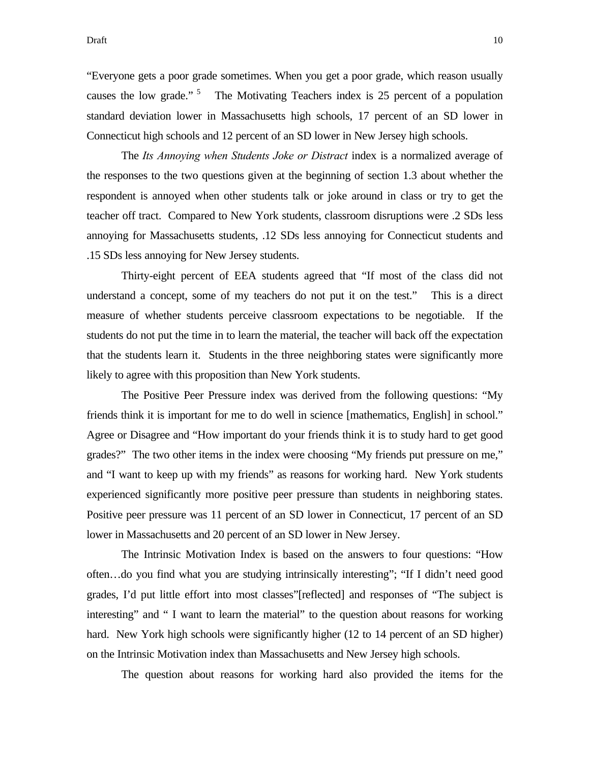"Everyone gets a poor grade sometimes. When you get a poor grade, which reason usually causes the low grade."<sup>5</sup> The Motivating Teachers index is 25 percent of a population standard deviation lower in Massachusetts high schools, 17 percent of an SD lower in Connecticut high schools and 12 percent of an SD lower in New Jersey high schools.

The *Its Annoying when Students Joke or Distract* index is a normalized average of the responses to the two questions given at the beginning of section 1.3 about whether the respondent is annoyed when other students talk or joke around in class or try to get the teacher off tract. Compared to New York students, classroom disruptions were .2 SDs less annoying for Massachusetts students, .12 SDs less annoying for Connecticut students and .15 SDs less annoying for New Jersey students.

Thirty-eight percent of EEA students agreed that "If most of the class did not understand a concept, some of my teachers do not put it on the test." This is a direct measure of whether students perceive classroom expectations to be negotiable. If the students do not put the time in to learn the material, the teacher will back off the expectation that the students learn it. Students in the three neighboring states were significantly more likely to agree with this proposition than New York students.

The Positive Peer Pressure index was derived from the following questions: "My friends think it is important for me to do well in science [mathematics, English] in school." Agree or Disagree and "How important do your friends think it is to study hard to get good grades?" The two other items in the index were choosing "My friends put pressure on me," and "I want to keep up with my friends" as reasons for working hard. New York students experienced significantly more positive peer pressure than students in neighboring states. Positive peer pressure was 11 percent of an SD lower in Connecticut, 17 percent of an SD lower in Massachusetts and 20 percent of an SD lower in New Jersey.

The Intrinsic Motivation Index is based on the answers to four questions: "How often…do you find what you are studying intrinsically interesting"; "If I didn't need good grades, I'd put little effort into most classes"[reflected] and responses of "The subject is interesting" and " I want to learn the material" to the question about reasons for working hard. New York high schools were significantly higher (12 to 14 percent of an SD higher) on the Intrinsic Motivation index than Massachusetts and New Jersey high schools.

The question about reasons for working hard also provided the items for the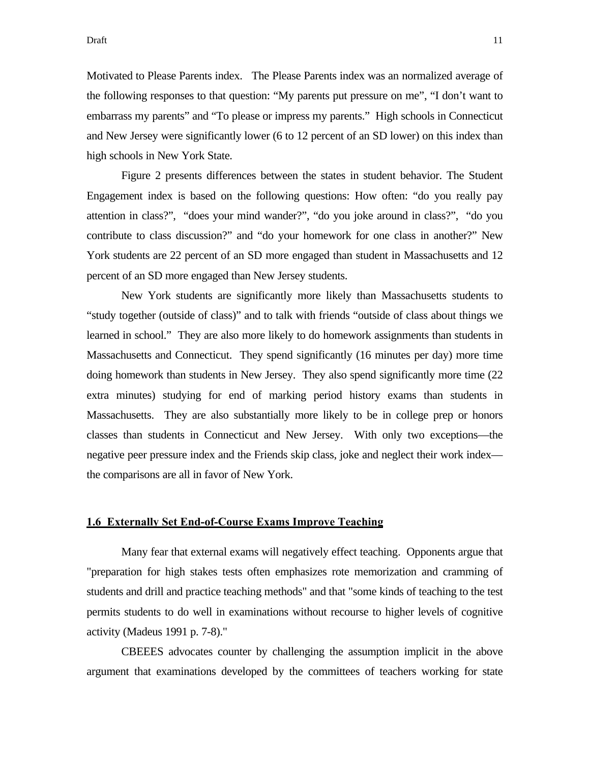**Draft** 11

Motivated to Please Parents index. The Please Parents index was an normalized average of the following responses to that question: "My parents put pressure on me", "I don't want to embarrass my parents" and "To please or impress my parents." High schools in Connecticut and New Jersey were significantly lower (6 to 12 percent of an SD lower) on this index than high schools in New York State.

Figure 2 presents differences between the states in student behavior. The Student Engagement index is based on the following questions: How often: "do you really pay attention in class?", "does your mind wander?", "do you joke around in class?", "do you contribute to class discussion?" and "do your homework for one class in another?" New York students are 22 percent of an SD more engaged than student in Massachusetts and 12 percent of an SD more engaged than New Jersey students.

New York students are significantly more likely than Massachusetts students to "study together (outside of class)" and to talk with friends "outside of class about things we learned in school." They are also more likely to do homework assignments than students in Massachusetts and Connecticut. They spend significantly (16 minutes per day) more time doing homework than students in New Jersey. They also spend significantly more time (22 extra minutes) studying for end of marking period history exams than students in Massachusetts. They are also substantially more likely to be in college prep or honors classes than students in Connecticut and New Jersey. With only two exceptions—the negative peer pressure index and the Friends skip class, joke and neglect their work index the comparisons are all in favor of New York.

#### **1.6 Externally Set End-of-Course Exams Improve Teaching**

Many fear that external exams will negatively effect teaching. Opponents argue that "preparation for high stakes tests often emphasizes rote memorization and cramming of students and drill and practice teaching methods" and that "some kinds of teaching to the test permits students to do well in examinations without recourse to higher levels of cognitive activity (Madeus 1991 p. 7-8)."

CBEEES advocates counter by challenging the assumption implicit in the above argument that examinations developed by the committees of teachers working for state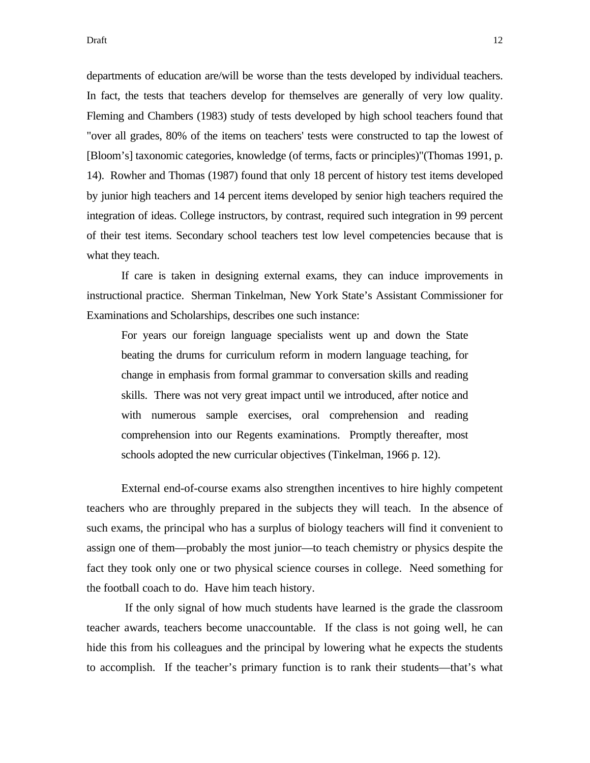departments of education are/will be worse than the tests developed by individual teachers. In fact, the tests that teachers develop for themselves are generally of very low quality. Fleming and Chambers (1983) study of tests developed by high school teachers found that "over all grades, 80% of the items on teachers' tests were constructed to tap the lowest of [Bloom's] taxonomic categories, knowledge (of terms, facts or principles)"(Thomas 1991, p. 14). Rowher and Thomas (1987) found that only 18 percent of history test items developed by junior high teachers and 14 percent items developed by senior high teachers required the integration of ideas. College instructors, by contrast, required such integration in 99 percent of their test items. Secondary school teachers test low level competencies because that is what they teach.

If care is taken in designing external exams, they can induce improvements in instructional practice. Sherman Tinkelman, New York State's Assistant Commissioner for Examinations and Scholarships, describes one such instance:

For years our foreign language specialists went up and down the State beating the drums for curriculum reform in modern language teaching, for change in emphasis from formal grammar to conversation skills and reading skills. There was not very great impact until we introduced, after notice and with numerous sample exercises, oral comprehension and reading comprehension into our Regents examinations. Promptly thereafter, most schools adopted the new curricular objectives (Tinkelman, 1966 p. 12).

External end-of-course exams also strengthen incentives to hire highly competent teachers who are throughly prepared in the subjects they will teach. In the absence of such exams, the principal who has a surplus of biology teachers will find it convenient to assign one of them—probably the most junior—to teach chemistry or physics despite the fact they took only one or two physical science courses in college. Need something for the football coach to do. Have him teach history.

 If the only signal of how much students have learned is the grade the classroom teacher awards, teachers become unaccountable. If the class is not going well, he can hide this from his colleagues and the principal by lowering what he expects the students to accomplish. If the teacher's primary function is to rank their students—that's what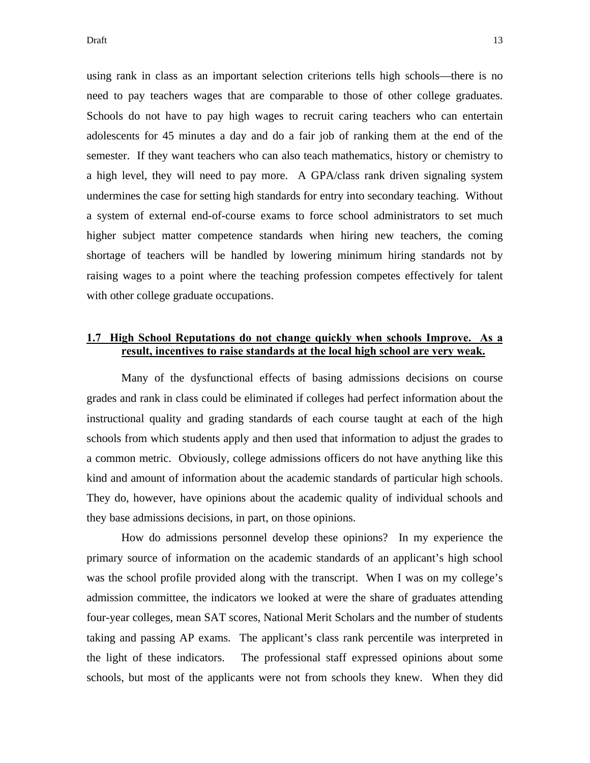using rank in class as an important selection criterions tells high schools—there is no need to pay teachers wages that are comparable to those of other college graduates. Schools do not have to pay high wages to recruit caring teachers who can entertain adolescents for 45 minutes a day and do a fair job of ranking them at the end of the semester. If they want teachers who can also teach mathematics, history or chemistry to a high level, they will need to pay more. A GPA/class rank driven signaling system undermines the case for setting high standards for entry into secondary teaching. Without a system of external end-of-course exams to force school administrators to set much higher subject matter competence standards when hiring new teachers, the coming shortage of teachers will be handled by lowering minimum hiring standards not by raising wages to a point where the teaching profession competes effectively for talent with other college graduate occupations.

#### **1.7 High School Reputations do not change quickly when schools Improve. As a result, incentives to raise standards at the local high school are very weak.**

Many of the dysfunctional effects of basing admissions decisions on course grades and rank in class could be eliminated if colleges had perfect information about the instructional quality and grading standards of each course taught at each of the high schools from which students apply and then used that information to adjust the grades to a common metric. Obviously, college admissions officers do not have anything like this kind and amount of information about the academic standards of particular high schools. They do, however, have opinions about the academic quality of individual schools and they base admissions decisions, in part, on those opinions.

How do admissions personnel develop these opinions? In my experience the primary source of information on the academic standards of an applicant's high school was the school profile provided along with the transcript. When I was on my college's admission committee, the indicators we looked at were the share of graduates attending four-year colleges, mean SAT scores, National Merit Scholars and the number of students taking and passing AP exams. The applicant's class rank percentile was interpreted in the light of these indicators. The professional staff expressed opinions about some schools, but most of the applicants were not from schools they knew. When they did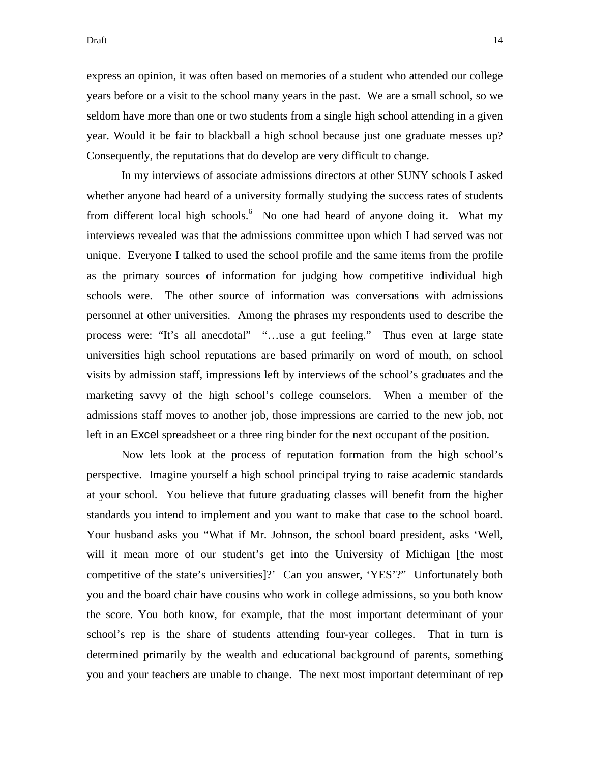**Draft** 14

express an opinion, it was often based on memories of a student who attended our college years before or a visit to the school many years in the past. We are a small school, so we seldom have more than one or two students from a single high school attending in a given year. Would it be fair to blackball a high school because just one graduate messes up? Consequently, the reputations that do develop are very difficult to change.

In my interviews of associate admissions directors at other SUNY schools I asked whether anyone had heard of a university formally studying the success rates of students from different local high schools.<sup>6</sup> No one had heard of anyone doing it. What my interviews revealed was that the admissions committee upon which I had served was not unique. Everyone I talked to used the school profile and the same items from the profile as the primary sources of information for judging how competitive individual high schools were. The other source of information was conversations with admissions personnel at other universities. Among the phrases my respondents used to describe the process were: "It's all anecdotal" "…use a gut feeling." Thus even at large state universities high school reputations are based primarily on word of mouth, on school visits by admission staff, impressions left by interviews of the school's graduates and the marketing savvy of the high school's college counselors. When a member of the admissions staff moves to another job, those impressions are carried to the new job, not left in an Excel spreadsheet or a three ring binder for the next occupant of the position.

Now lets look at the process of reputation formation from the high school's perspective. Imagine yourself a high school principal trying to raise academic standards at your school. You believe that future graduating classes will benefit from the higher standards you intend to implement and you want to make that case to the school board. Your husband asks you "What if Mr. Johnson, the school board president, asks 'Well, will it mean more of our student's get into the University of Michigan [the most competitive of the state's universities]?' Can you answer, 'YES'?" Unfortunately both you and the board chair have cousins who work in college admissions, so you both know the score. You both know, for example, that the most important determinant of your school's rep is the share of students attending four-year colleges. That in turn is determined primarily by the wealth and educational background of parents, something you and your teachers are unable to change. The next most important determinant of rep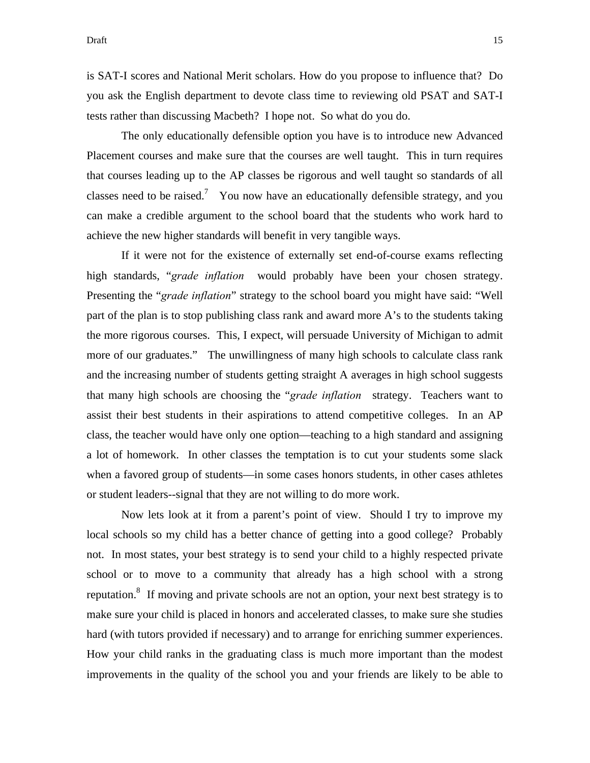is SAT-I scores and National Merit scholars. How do you propose to influence that? Do you ask the English department to devote class time to reviewing old PSAT and SAT-I tests rather than discussing Macbeth? I hope not. So what do you do.

The only educationally defensible option you have is to introduce new Advanced Placement courses and make sure that the courses are well taught. This in turn requires that courses leading up to the AP classes be rigorous and well taught so standards of all classes need to be raised.<sup>7</sup> You now have an educationally defensible strategy, and you can make a credible argument to the school board that the students who work hard to achieve the new higher standards will benefit in very tangible ways.

If it were not for the existence of externally set end-of-course exams reflecting high standards, "*grade inflation* would probably have been your chosen strategy. Presenting the "*grade inflation*" strategy to the school board you might have said: "Well part of the plan is to stop publishing class rank and award more A's to the students taking the more rigorous courses. This, I expect, will persuade University of Michigan to admit more of our graduates." The unwillingness of many high schools to calculate class rank and the increasing number of students getting straight A averages in high school suggests that many high schools are choosing the "*grade inflation"* strategy. Teachers want to assist their best students in their aspirations to attend competitive colleges. In an AP class, the teacher would have only one option—teaching to a high standard and assigning a lot of homework. In other classes the temptation is to cut your students some slack when a favored group of students—in some cases honors students, in other cases athletes or student leaders--signal that they are not willing to do more work.

Now lets look at it from a parent's point of view. Should I try to improve my local schools so my child has a better chance of getting into a good college? Probably not. In most states, your best strategy is to send your child to a highly respected private school or to move to a community that already has a high school with a strong reputation.<sup>8</sup> If moving and private schools are not an option, your next best strategy is to make sure your child is placed in honors and accelerated classes, to make sure she studies hard (with tutors provided if necessary) and to arrange for enriching summer experiences. How your child ranks in the graduating class is much more important than the modest improvements in the quality of the school you and your friends are likely to be able to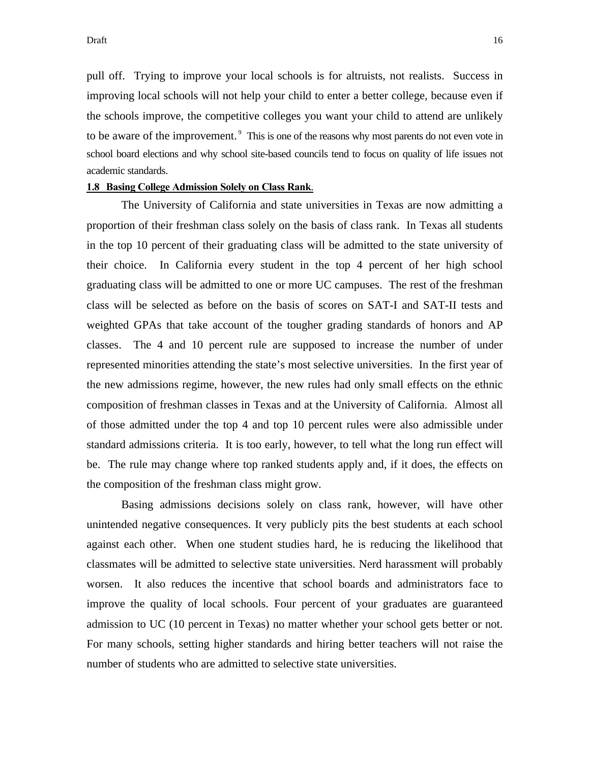pull off. Trying to improve your local schools is for altruists, not realists. Success in improving local schools will not help your child to enter a better college, because even if the schools improve, the competitive colleges you want your child to attend are unlikely

to be aware of the improvement.<sup>9</sup> This is one of the reasons why most parents do not even vote in school board elections and why school site-based councils tend to focus on quality of life issues not academic standards.

#### **1.8 Basing College Admission Solely on Class Rank**.

The University of California and state universities in Texas are now admitting a proportion of their freshman class solely on the basis of class rank. In Texas all students in the top 10 percent of their graduating class will be admitted to the state university of their choice. In California every student in the top 4 percent of her high school graduating class will be admitted to one or more UC campuses. The rest of the freshman class will be selected as before on the basis of scores on SAT-I and SAT-II tests and weighted GPAs that take account of the tougher grading standards of honors and AP classes. The 4 and 10 percent rule are supposed to increase the number of under represented minorities attending the state's most selective universities. In the first year of the new admissions regime, however, the new rules had only small effects on the ethnic composition of freshman classes in Texas and at the University of California. Almost all of those admitted under the top 4 and top 10 percent rules were also admissible under standard admissions criteria. It is too early, however, to tell what the long run effect will be. The rule may change where top ranked students apply and, if it does, the effects on the composition of the freshman class might grow.

Basing admissions decisions solely on class rank, however, will have other unintended negative consequences. It very publicly pits the best students at each school against each other. When one student studies hard, he is reducing the likelihood that classmates will be admitted to selective state universities. Nerd harassment will probably worsen. It also reduces the incentive that school boards and administrators face to improve the quality of local schools. Four percent of your graduates are guaranteed admission to UC (10 percent in Texas) no matter whether your school gets better or not. For many schools, setting higher standards and hiring better teachers will not raise the number of students who are admitted to selective state universities.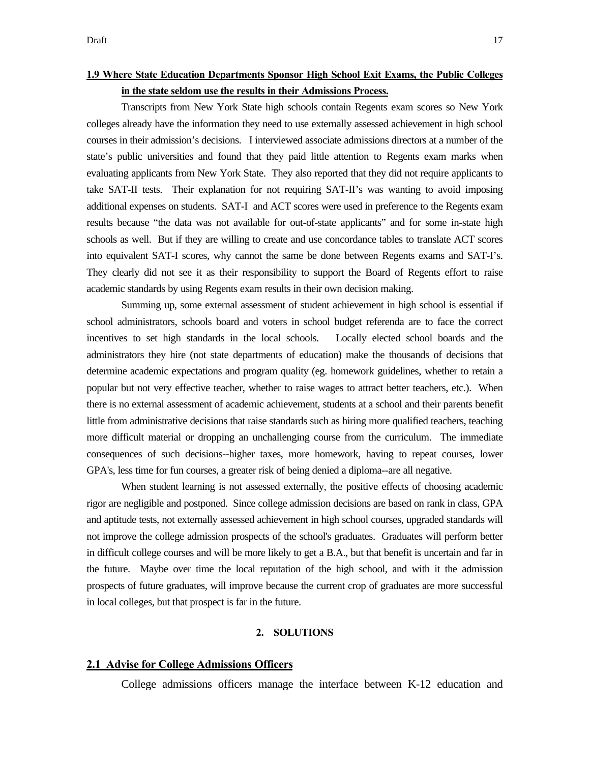### **1.9 Where State Education Departments Sponsor High School Exit Exams, the Public Colleges in the state seldom use the results in their Admissions Process.**

Transcripts from New York State high schools contain Regents exam scores so New York colleges already have the information they need to use externally assessed achievement in high school courses in their admission's decisions. I interviewed associate admissions directors at a number of the state's public universities and found that they paid little attention to Regents exam marks when evaluating applicants from New York State. They also reported that they did not require applicants to take SAT-II tests. Their explanation for not requiring SAT-II's was wanting to avoid imposing additional expenses on students. SAT-I and ACT scores were used in preference to the Regents exam results because "the data was not available for out-of-state applicants" and for some in-state high schools as well. But if they are willing to create and use concordance tables to translate ACT scores into equivalent SAT-I scores, why cannot the same be done between Regents exams and SAT-I's. They clearly did not see it as their responsibility to support the Board of Regents effort to raise academic standards by using Regents exam results in their own decision making.

Summing up, some external assessment of student achievement in high school is essential if school administrators, schools board and voters in school budget referenda are to face the correct incentives to set high standards in the local schools. Locally elected school boards and the administrators they hire (not state departments of education) make the thousands of decisions that determine academic expectations and program quality (eg. homework guidelines, whether to retain a popular but not very effective teacher, whether to raise wages to attract better teachers, etc.). When there is no external assessment of academic achievement, students at a school and their parents benefit little from administrative decisions that raise standards such as hiring more qualified teachers, teaching more difficult material or dropping an unchallenging course from the curriculum. The immediate consequences of such decisions--higher taxes, more homework, having to repeat courses, lower GPA's, less time for fun courses, a greater risk of being denied a diploma--are all negative.

When student learning is not assessed externally, the positive effects of choosing academic rigor are negligible and postponed. Since college admission decisions are based on rank in class, GPA and aptitude tests, not externally assessed achievement in high school courses, upgraded standards will not improve the college admission prospects of the school's graduates. Graduates will perform better in difficult college courses and will be more likely to get a B.A., but that benefit is uncertain and far in the future. Maybe over time the local reputation of the high school, and with it the admission prospects of future graduates, will improve because the current crop of graduates are more successful in local colleges, but that prospect is far in the future.

#### **2. SOLUTIONS**

#### **2.1 Advise for College Admissions Officers**

College admissions officers manage the interface between K-12 education and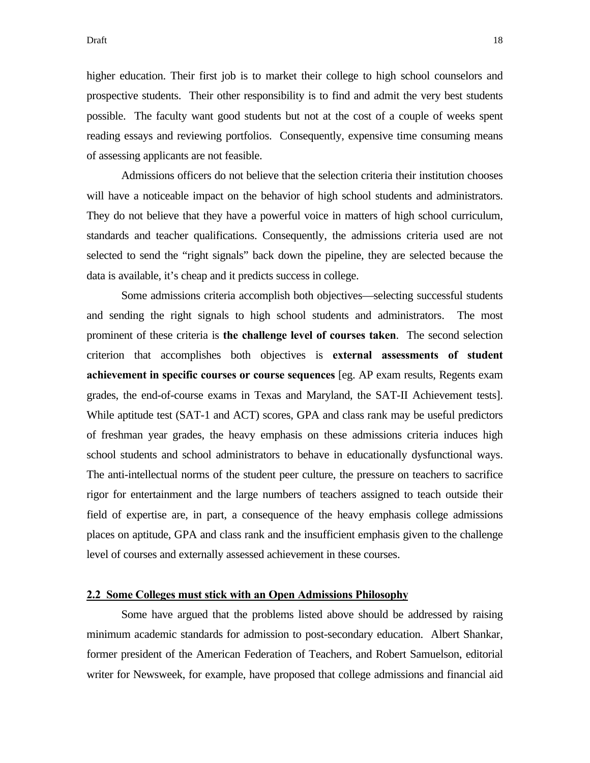higher education. Their first job is to market their college to high school counselors and prospective students. Their other responsibility is to find and admit the very best students possible. The faculty want good students but not at the cost of a couple of weeks spent reading essays and reviewing portfolios. Consequently, expensive time consuming means of assessing applicants are not feasible.

 Admissions officers do not believe that the selection criteria their institution chooses will have a noticeable impact on the behavior of high school students and administrators. They do not believe that they have a powerful voice in matters of high school curriculum, standards and teacher qualifications. Consequently, the admissions criteria used are not selected to send the "right signals" back down the pipeline, they are selected because the data is available, it's cheap and it predicts success in college.

Some admissions criteria accomplish both objectives—selecting successful students and sending the right signals to high school students and administrators. The most prominent of these criteria is **the challenge level of courses taken**. The second selection criterion that accomplishes both objectives is **external assessments of student achievement in specific courses or course sequences** [eg. AP exam results, Regents exam grades, the end-of-course exams in Texas and Maryland, the SAT-II Achievement tests]. While aptitude test (SAT-1 and ACT) scores, GPA and class rank may be useful predictors of freshman year grades, the heavy emphasis on these admissions criteria induces high school students and school administrators to behave in educationally dysfunctional ways. The anti-intellectual norms of the student peer culture, the pressure on teachers to sacrifice rigor for entertainment and the large numbers of teachers assigned to teach outside their field of expertise are, in part, a consequence of the heavy emphasis college admissions places on aptitude, GPA and class rank and the insufficient emphasis given to the challenge level of courses and externally assessed achievement in these courses.

#### **2.2 Some Colleges must stick with an Open Admissions Philosophy**

Some have argued that the problems listed above should be addressed by raising minimum academic standards for admission to post-secondary education. Albert Shankar, former president of the American Federation of Teachers, and Robert Samuelson, editorial writer for Newsweek, for example, have proposed that college admissions and financial aid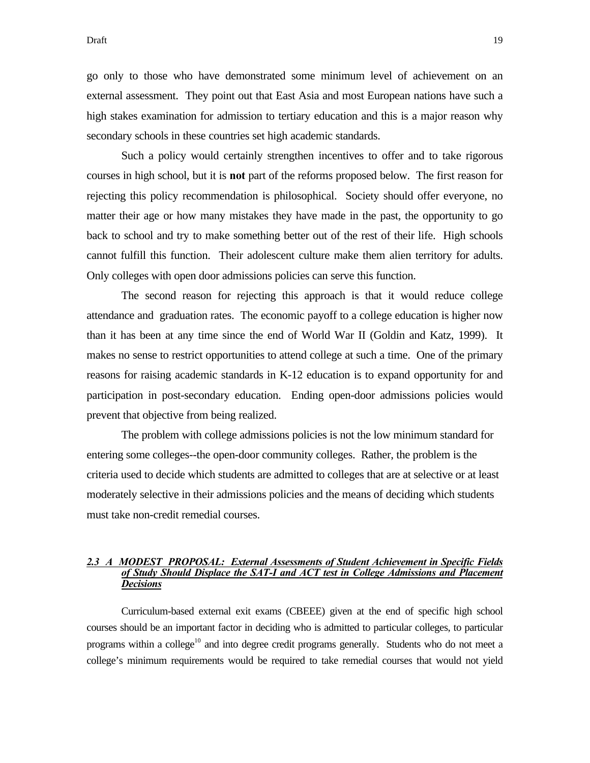go only to those who have demonstrated some minimum level of achievement on an external assessment. They point out that East Asia and most European nations have such a high stakes examination for admission to tertiary education and this is a major reason why secondary schools in these countries set high academic standards.

Such a policy would certainly strengthen incentives to offer and to take rigorous courses in high school, but it is **not** part of the reforms proposed below. The first reason for rejecting this policy recommendation is philosophical. Society should offer everyone, no matter their age or how many mistakes they have made in the past, the opportunity to go back to school and try to make something better out of the rest of their life. High schools cannot fulfill this function. Their adolescent culture make them alien territory for adults. Only colleges with open door admissions policies can serve this function.

The second reason for rejecting this approach is that it would reduce college attendance and graduation rates. The economic payoff to a college education is higher now than it has been at any time since the end of World War II (Goldin and Katz, 1999). It makes no sense to restrict opportunities to attend college at such a time. One of the primary reasons for raising academic standards in K-12 education is to expand opportunity for and participation in post-secondary education. Ending open-door admissions policies would prevent that objective from being realized.

The problem with college admissions policies is not the low minimum standard for entering some colleges--the open-door community colleges. Rather, the problem is the criteria used to decide which students are admitted to colleges that are at selective or at least moderately selective in their admissions policies and the means of deciding which students must take non-credit remedial courses.

#### *2.3 A MODEST PROPOSAL: External Assessments of Student Achievement in Specific Fields of Study Should Displace the SAT-I and ACT test in College Admissions and Placement Decisions*

Curriculum-based external exit exams (CBEEE) given at the end of specific high school courses should be an important factor in deciding who is admitted to particular colleges, to particular programs within a college<sup>10</sup> and into degree credit programs generally. Students who do not meet a college's minimum requirements would be required to take remedial courses that would not yield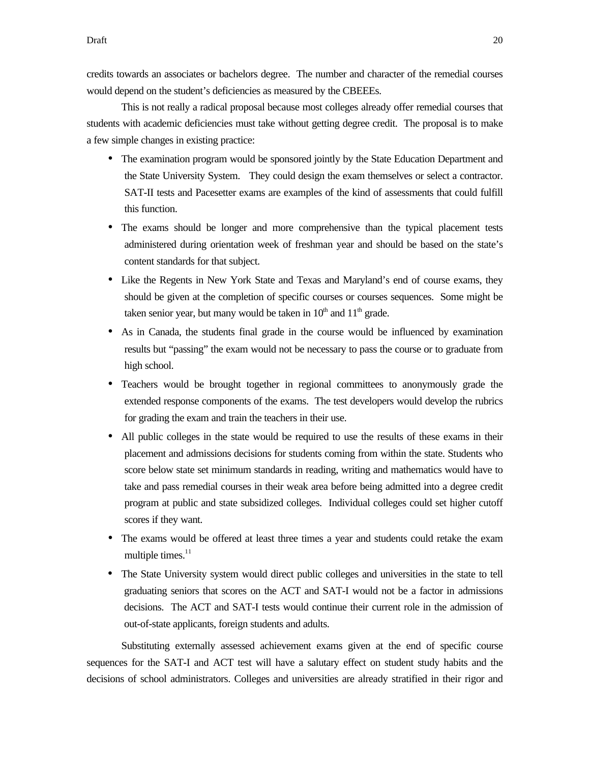credits towards an associates or bachelors degree. The number and character of the remedial courses would depend on the student's deficiencies as measured by the CBEEEs.

This is not really a radical proposal because most colleges already offer remedial courses that students with academic deficiencies must take without getting degree credit. The proposal is to make a few simple changes in existing practice:

- The examination program would be sponsored jointly by the State Education Department and the State University System. They could design the exam themselves or select a contractor. SAT-II tests and Pacesetter exams are examples of the kind of assessments that could fulfill this function.
- The exams should be longer and more comprehensive than the typical placement tests administered during orientation week of freshman year and should be based on the state's content standards for that subject.
- Like the Regents in New York State and Texas and Maryland's end of course exams, they should be given at the completion of specific courses or courses sequences. Some might be taken senior year, but many would be taken in  $10<sup>th</sup>$  and  $11<sup>th</sup>$  grade.
- As in Canada, the students final grade in the course would be influenced by examination results but "passing" the exam would not be necessary to pass the course or to graduate from high school.
- Teachers would be brought together in regional committees to anonymously grade the extended response components of the exams. The test developers would develop the rubrics for grading the exam and train the teachers in their use.
- All public colleges in the state would be required to use the results of these exams in their placement and admissions decisions for students coming from within the state. Students who score below state set minimum standards in reading, writing and mathematics would have to take and pass remedial courses in their weak area before being admitted into a degree credit program at public and state subsidized colleges. Individual colleges could set higher cutoff scores if they want.
- The exams would be offered at least three times a year and students could retake the exam multiple times. $11$
- The State University system would direct public colleges and universities in the state to tell graduating seniors that scores on the ACT and SAT-I would not be a factor in admissions decisions. The ACT and SAT-I tests would continue their current role in the admission of out-of-state applicants, foreign students and adults.

Substituting externally assessed achievement exams given at the end of specific course sequences for the SAT-I and ACT test will have a salutary effect on student study habits and the decisions of school administrators. Colleges and universities are already stratified in their rigor and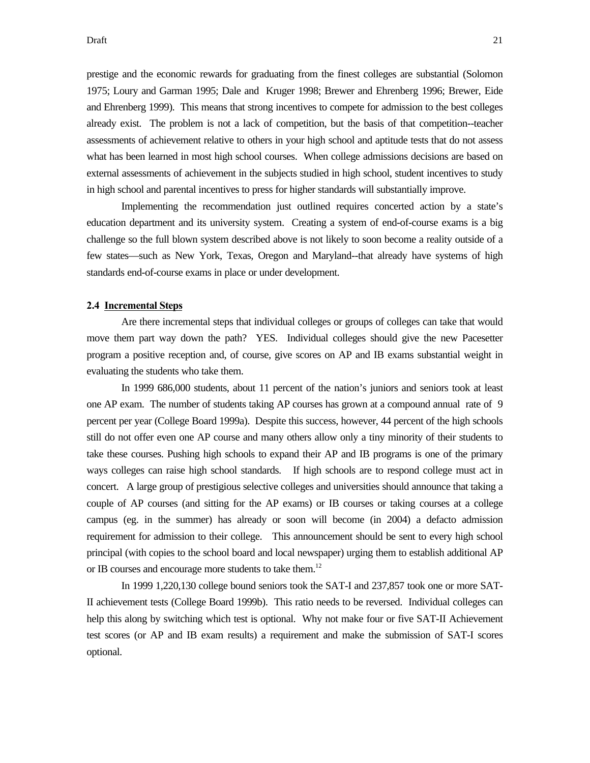prestige and the economic rewards for graduating from the finest colleges are substantial (Solomon 1975; Loury and Garman 1995; Dale and Kruger 1998; Brewer and Ehrenberg 1996; Brewer, Eide and Ehrenberg 1999). This means that strong incentives to compete for admission to the best colleges already exist. The problem is not a lack of competition, but the basis of that competition--teacher assessments of achievement relative to others in your high school and aptitude tests that do not assess what has been learned in most high school courses. When college admissions decisions are based on external assessments of achievement in the subjects studied in high school, student incentives to study in high school and parental incentives to press for higher standards will substantially improve.

Implementing the recommendation just outlined requires concerted action by a state's education department and its university system. Creating a system of end-of-course exams is a big challenge so the full blown system described above is not likely to soon become a reality outside of a few states—such as New York, Texas, Oregon and Maryland--that already have systems of high standards end-of-course exams in place or under development.

#### **2.4 Incremental Steps**

Are there incremental steps that individual colleges or groups of colleges can take that would move them part way down the path? YES. Individual colleges should give the new Pacesetter program a positive reception and, of course, give scores on AP and IB exams substantial weight in evaluating the students who take them.

In 1999 686,000 students, about 11 percent of the nation's juniors and seniors took at least one AP exam. The number of students taking AP courses has grown at a compound annual rate of 9 percent per year (College Board 1999a). Despite this success, however, 44 percent of the high schools still do not offer even one AP course and many others allow only a tiny minority of their students to take these courses. Pushing high schools to expand their AP and IB programs is one of the primary ways colleges can raise high school standards. If high schools are to respond college must act in concert. A large group of prestigious selective colleges and universities should announce that taking a couple of AP courses (and sitting for the AP exams) or IB courses or taking courses at a college campus (eg. in the summer) has already or soon will become (in 2004) a defacto admission requirement for admission to their college. This announcement should be sent to every high school principal (with copies to the school board and local newspaper) urging them to establish additional AP or IB courses and encourage more students to take them.<sup>12</sup>

In 1999 1,220,130 college bound seniors took the SAT-I and 237,857 took one or more SAT-II achievement tests (College Board 1999b). This ratio needs to be reversed. Individual colleges can help this along by switching which test is optional. Why not make four or five SAT-II Achievement test scores (or AP and IB exam results) a requirement and make the submission of SAT-I scores optional.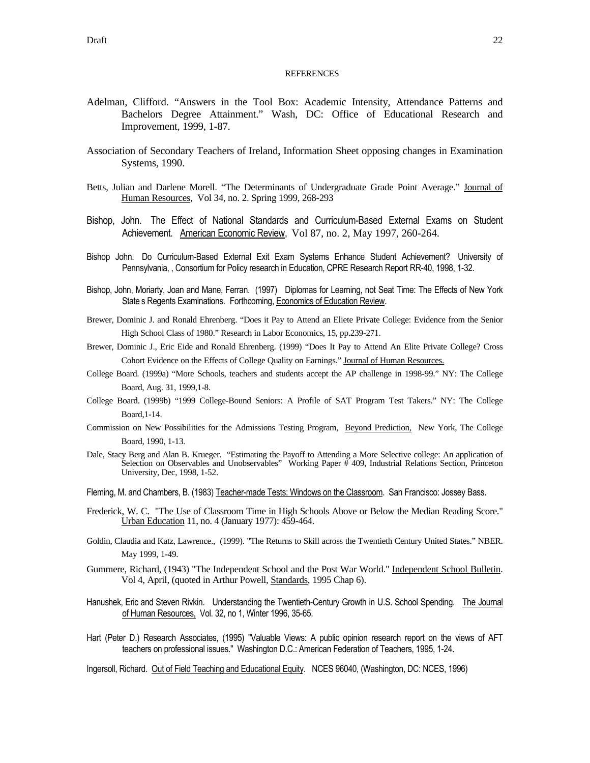#### REFERENCES

- Adelman, Clifford. "Answers in the Tool Box: Academic Intensity, Attendance Patterns and Bachelors Degree Attainment." Wash, DC: Office of Educational Research and Improvement, 1999, 1-87.
- Association of Secondary Teachers of Ireland, Information Sheet opposing changes in Examination Systems, 1990.
- Betts, Julian and Darlene Morell. "The Determinants of Undergraduate Grade Point Average." Journal of Human Resources, Vol 34, no. 2. Spring 1999, 268-293
- Bishop, John. "The Effect of National Standards and Curriculum-Based External Exams on Student Achievement. American Economic Review, Vol 87, no. 2, May 1997, 260-264.
- Bishop John. Do Curriculum-Based External Exit Exam Systems Enhance Student Achievement? University of Pennsylvania, , Consortium for Policy research in Education, CPRE Research Report RR-40, 1998, 1-32.
- Bishop, John, Moriarty, Joan and Mane, Ferran. (1997) "Diplomas for Learning, not Seat Time: The Effects of New York State's Regents Examinations. Forthcoming, Economics of Education Review.
- Brewer, Dominic J. and Ronald Ehrenberg. "Does it Pay to Attend an Eliete Private College: Evidence from the Senior High School Class of 1980." Research in Labor Economics, 15, pp.239-271.
- Brewer, Dominic J., Eric Eide and Ronald Ehrenberg. (1999) "Does It Pay to Attend An Elite Private College? Cross Cohort Evidence on the Effects of College Quality on Earnings." Journal of Human Resources.
- College Board. (1999a) "More Schools, teachers and students accept the AP challenge in 1998-99." NY: The College Board, Aug. 31, 1999,1-8.
- College Board. (1999b) "1999 College-Bound Seniors: A Profile of SAT Program Test Takers." NY: The College Board,1-14.
- Commission on New Possibilities for the Admissions Testing Program, Beyond Prediction, New York, The College Board, 1990, 1-13.
- Dale, Stacy Berg and Alan B. Krueger. "Estimating the Payoff to Attending a More Selective college: An application of Selection on Observables and Unobservables" Working Paper # 409, Industrial Relations Section, Princeton University, Dec, 1998, 1-52.
- Fleming, M. and Chambers, B. (1983) Teacher-made Tests: Windows on the Classroom. San Francisco: Jossey Bass.
- Frederick, W. C. "The Use of Classroom Time in High Schools Above or Below the Median Reading Score." Urban Education 11, no. 4 (January 1977): 459-464.
- Goldin, Claudia and Katz, Lawrence., (1999). "The Returns to Skill across the Twentieth Century United States." NBER. May 1999, 1-49.
- Gummere, Richard, (1943) "The Independent School and the Post War World." Independent School Bulletin. Vol 4, April, (quoted in Arthur Powell, Standards, 1995 Chap 6).
- Hanushek, Eric and Steven Rivkin. Understanding the Twentieth-Century Growth in U.S. School Spending. The Journal of Human Resources, Vol. 32, no 1, Winter 1996, 35-65.
- Hart (Peter D.) Research Associates, (1995) "Valuable Views: A public opinion research report on the views of AFT teachers on professional issues." Washington D.C.: American Federation of Teachers, 1995, 1-24.

Ingersoll, Richard. Out of Field Teaching and Educational Equity. NCES 96040, (Washington, DC: NCES, 1996)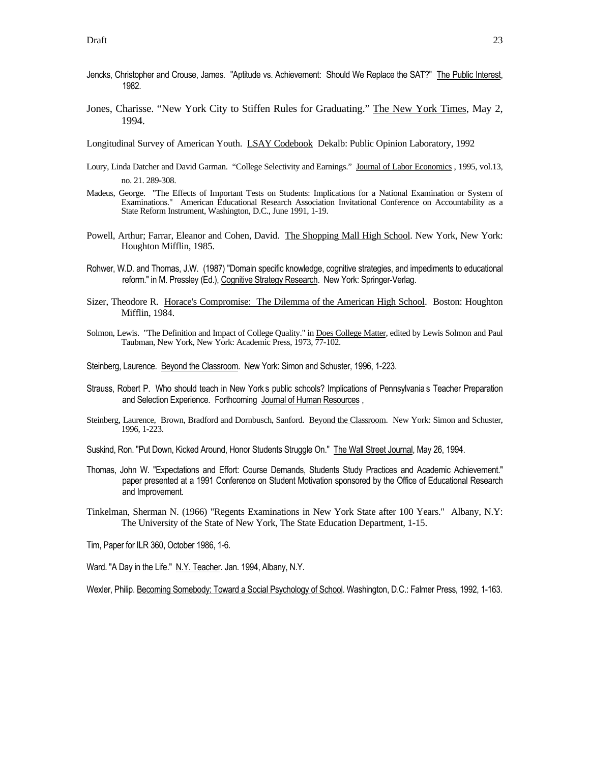- Jencks, Christopher and Crouse, James. "Aptitude vs. Achievement: Should We Replace the SAT?" The Public Interest, 1982.
- Jones, Charisse. "New York City to Stiffen Rules for Graduating." The New York Times, May 2, 1994.
- Longitudinal Survey of American Youth. LSAY Codebook Dekalb: Public Opinion Laboratory, 1992
- Loury, Linda Datcher and David Garman. "College Selectivity and Earnings." Journal of Labor Economics, 1995, vol.13, no. 21. 289-308.
- Madeus, George. "The Effects of Important Tests on Students: Implications for a National Examination or System of Examinations." American Educational Research Association Invitational Conference on Accountability as a State Reform Instrument, Washington, D.C., June 1991, 1-19.
- Powell, Arthur; Farrar, Eleanor and Cohen, David. The Shopping Mall High School. New York, New York: Houghton Mifflin, 1985.
- Rohwer, W.D. and Thomas, J.W. (1987) "Domain specific knowledge, cognitive strategies, and impediments to educational reform." in M. Pressley (Ed.), Cognitive Strategy Research. New York: Springer-Verlag.
- Sizer, Theodore R. Horace's Compromise: The Dilemma of the American High School. Boston: Houghton Mifflin, 1984.
- Solmon, Lewis. "The Definition and Impact of College Quality." in Does College Matter, edited by Lewis Solmon and Paul Taubman, New York, New York: Academic Press, 1973, 77-102.
- Steinberg, Laurence. Beyond the Classroom. New York: Simon and Schuster, 1996, 1-223.
- Strauss, Robert P. Who should teach in New York's public schools? Implications of Pennsylvania's Teacher Preparation and Selection Experience. Forthcoming Journal of Human Resources,
- Steinberg, Laurence, Brown, Bradford and Dornbusch, Sanford. Beyond the Classroom. New York: Simon and Schuster, 1996, 1-223.
- Suskind, Ron. "Put Down, Kicked Around, Honor Students Struggle On." The Wall Street Journal, May 26, 1994.
- Thomas, John W. "Expectations and Effort: Course Demands, Students Study Practices and Academic Achievement." paper presented at a 1991 Conference on Student Motivation sponsored by the Office of Educational Research and Improvement.
- Tinkelman, Sherman N. (1966) "Regents Examinations in New York State after 100 Years." Albany, N.Y: The University of the State of New York, The State Education Department, 1-15.
- Tim, Paper for ILR 360, October 1986, 1-6.

Ward. "A Day in the Life." N.Y. Teacher. Jan. 1994, Albany, N.Y.

Wexler, Philip. Becoming Somebody: Toward a Social Psychology of School. Washington, D.C.: Falmer Press, 1992, 1-163.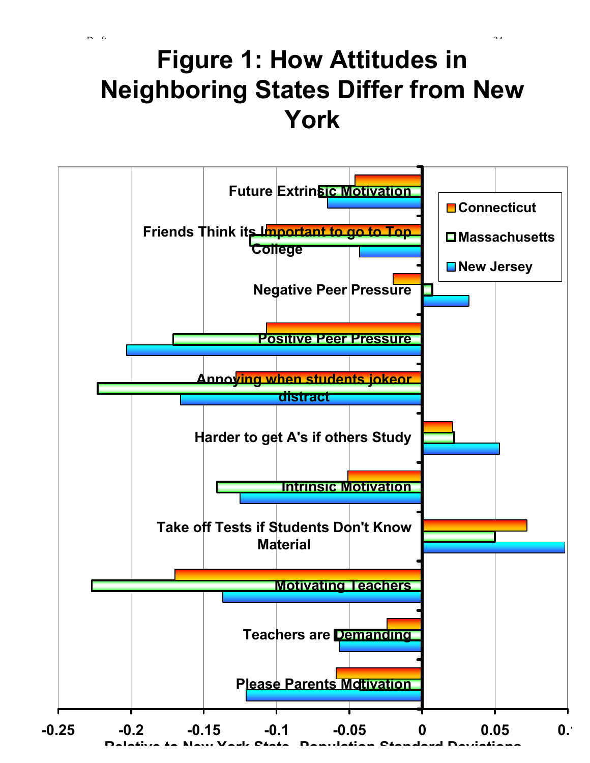# **Figure 1: How Attitudes in Neighboring States Differ from New York**

 $D = 24$ 

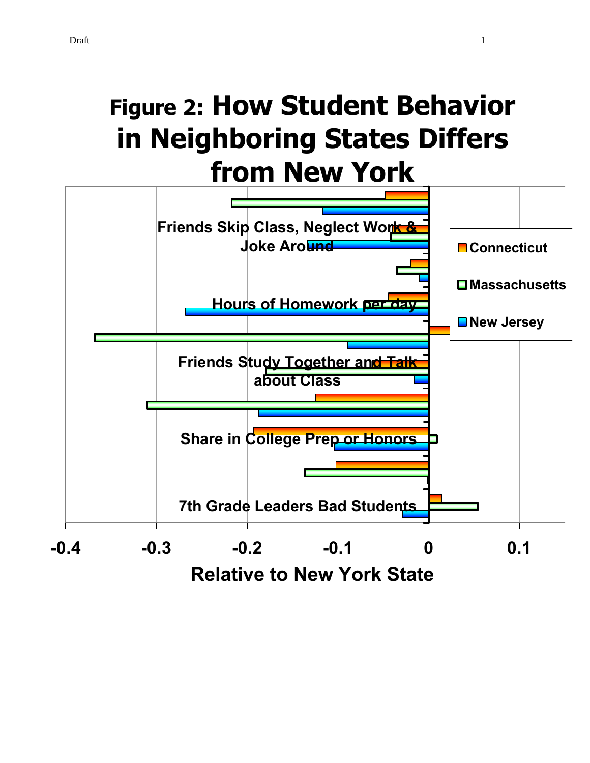# **Figure 2: How Student Behavior in Neighboring States Differs from New York**

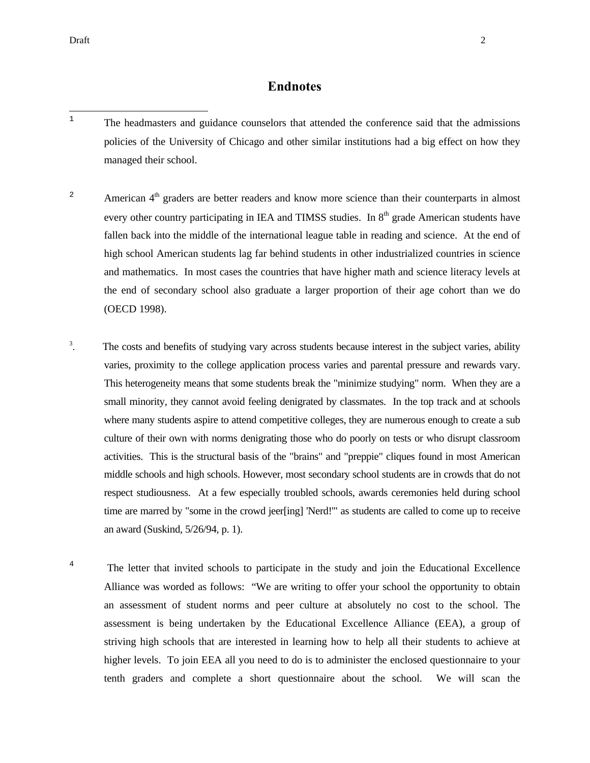### **Endnotes**

- $\mathbf{1}$ <sup>1</sup> The headmasters and guidance counselors that attended the conference said that the admissions policies of the University of Chicago and other similar institutions had a big effect on how they managed their school.
- <sup>2</sup> American  $4<sup>th</sup>$  graders are better readers and know more science than their counterparts in almost every other country participating in IEA and TIMSS studies. In 8<sup>th</sup> grade American students have fallen back into the middle of the international league table in reading and science. At the end of high school American students lag far behind students in other industrialized countries in science and mathematics. In most cases the countries that have higher math and science literacy levels at the end of secondary school also graduate a larger proportion of their age cohort than we do (OECD 1998).
- 3 . The costs and benefits of studying vary across students because interest in the subject varies, ability varies, proximity to the college application process varies and parental pressure and rewards vary. This heterogeneity means that some students break the "minimize studying" norm. When they are a small minority, they cannot avoid feeling denigrated by classmates. In the top track and at schools where many students aspire to attend competitive colleges, they are numerous enough to create a sub culture of their own with norms denigrating those who do poorly on tests or who disrupt classroom activities. This is the structural basis of the "brains" and "preppie" cliques found in most American middle schools and high schools. However, most secondary school students are in crowds that do not respect studiousness. At a few especially troubled schools, awards ceremonies held during school time are marred by "some in the crowd jeer[ing] 'Nerd!'" as students are called to come up to receive an award (Suskind, 5/26/94, p. 1).
- <sup>4</sup> The letter that invited schools to participate in the study and join the Educational Excellence Alliance was worded as follows: "We are writing to offer your school the opportunity to obtain an assessment of student norms and peer culture at absolutely no cost to the school. The assessment is being undertaken by the Educational Excellence Alliance (EEA), a group of striving high schools that are interested in learning how to help all their students to achieve at higher levels. To join EEA all you need to do is to administer the enclosed questionnaire to your tenth graders and complete a short questionnaire about the school. We will scan the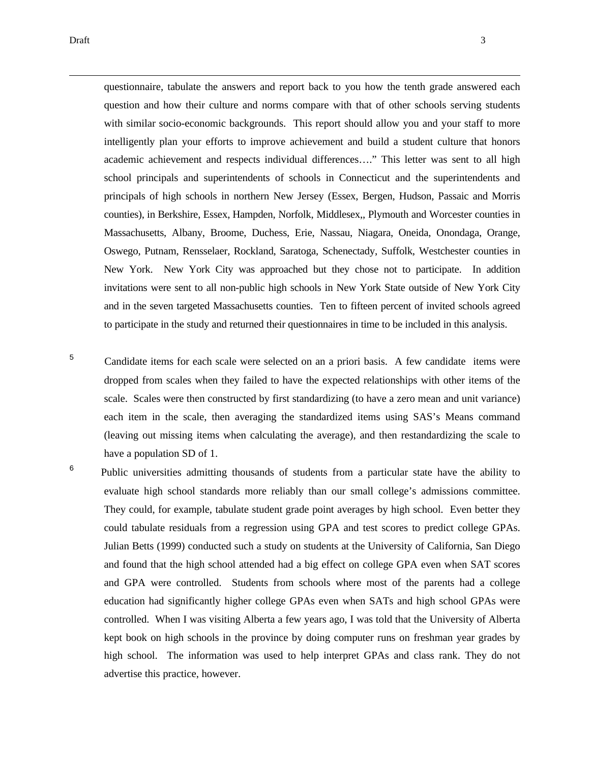$\overline{a}$ 

questionnaire, tabulate the answers and report back to you how the tenth grade answered each question and how their culture and norms compare with that of other schools serving students with similar socio-economic backgrounds. This report should allow you and your staff to more intelligently plan your efforts to improve achievement and build a student culture that honors academic achievement and respects individual differences…." This letter was sent to all high school principals and superintendents of schools in Connecticut and the superintendents and principals of high schools in northern New Jersey (Essex, Bergen, Hudson, Passaic and Morris counties), in Berkshire, Essex, Hampden, Norfolk, Middlesex,, Plymouth and Worcester counties in Massachusetts, Albany, Broome, Duchess, Erie, Nassau, Niagara, Oneida, Onondaga, Orange, Oswego, Putnam, Rensselaer, Rockland, Saratoga, Schenectady, Suffolk, Westchester counties in New York. New York City was approached but they chose not to participate. In addition invitations were sent to all non-public high schools in New York State outside of New York City and in the seven targeted Massachusetts counties. Ten to fifteen percent of invited schools agreed to participate in the study and returned their questionnaires in time to be included in this analysis.

<sup>5</sup> Candidate items for each scale were selected on an a priori basis. A few candidate items were dropped from scales when they failed to have the expected relationships with other items of the scale. Scales were then constructed by first standardizing (to have a zero mean and unit variance) each item in the scale, then averaging the standardized items using SAS's Means command (leaving out missing items when calculating the average), and then restandardizing the scale to have a population SD of 1.

<sup>6</sup> Public universities admitting thousands of students from a particular state have the ability to evaluate high school standards more reliably than our small college's admissions committee. They could, for example, tabulate student grade point averages by high school. Even better they could tabulate residuals from a regression using GPA and test scores to predict college GPAs. Julian Betts (1999) conducted such a study on students at the University of California, San Diego and found that the high school attended had a big effect on college GPA even when SAT scores and GPA were controlled. Students from schools where most of the parents had a college education had significantly higher college GPAs even when SATs and high school GPAs were controlled. When I was visiting Alberta a few years ago, I was told that the University of Alberta kept book on high schools in the province by doing computer runs on freshman year grades by high school. The information was used to help interpret GPAs and class rank. They do not advertise this practice, however.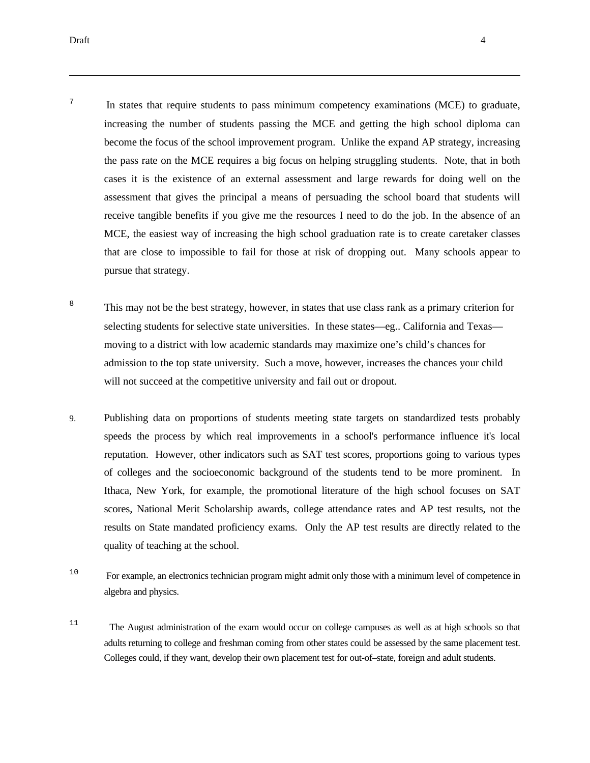$\overline{a}$ 

- $<sup>7</sup>$  In states that require students to pass minimum competency examinations (MCE) to graduate,</sup> increasing the number of students passing the MCE and getting the high school diploma can become the focus of the school improvement program. Unlike the expand AP strategy, increasing the pass rate on the MCE requires a big focus on helping struggling students. Note, that in both cases it is the existence of an external assessment and large rewards for doing well on the assessment that gives the principal a means of persuading the school board that students will receive tangible benefits if you give me the resources I need to do the job. In the absence of an MCE, the easiest way of increasing the high school graduation rate is to create caretaker classes that are close to impossible to fail for those at risk of dropping out. Many schools appear to pursue that strategy.
- <sup>8</sup> This may not be the best strategy, however, in states that use class rank as a primary criterion for selecting students for selective state universities. In these states—eg.. California and Texas moving to a district with low academic standards may maximize one's child's chances for admission to the top state university. Such a move, however, increases the chances your child will not succeed at the competitive university and fail out or dropout.
- 9. Publishing data on proportions of students meeting state targets on standardized tests probably speeds the process by which real improvements in a school's performance influence it's local reputation. However, other indicators such as SAT test scores, proportions going to various types of colleges and the socioeconomic background of the students tend to be more prominent. In Ithaca, New York, for example, the promotional literature of the high school focuses on SAT scores, National Merit Scholarship awards, college attendance rates and AP test results, not the results on State mandated proficiency exams. Only the AP test results are directly related to the quality of teaching at the school.
- <sup>10</sup> For example, an electronics technician program might admit only those with a minimum level of competence in algebra and physics.
- <sup>11</sup> The August administration of the exam would occur on college campuses as well as at high schools so that adults returning to college and freshman coming from other states could be assessed by the same placement test. Colleges could, if they want, develop their own placement test for out-of–state, foreign and adult students.